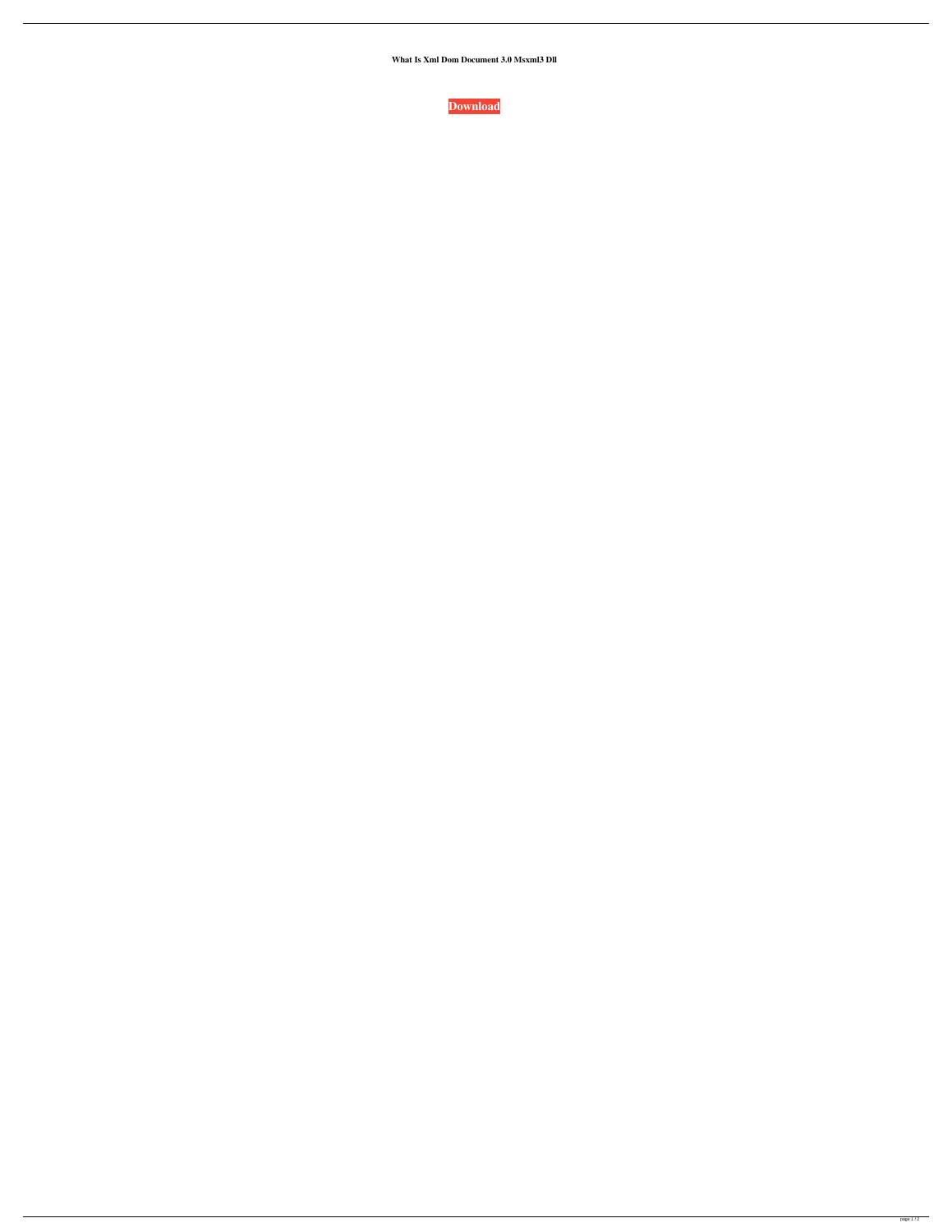**What Is Xml Dom Document 3.0 Msxml3 Dll**